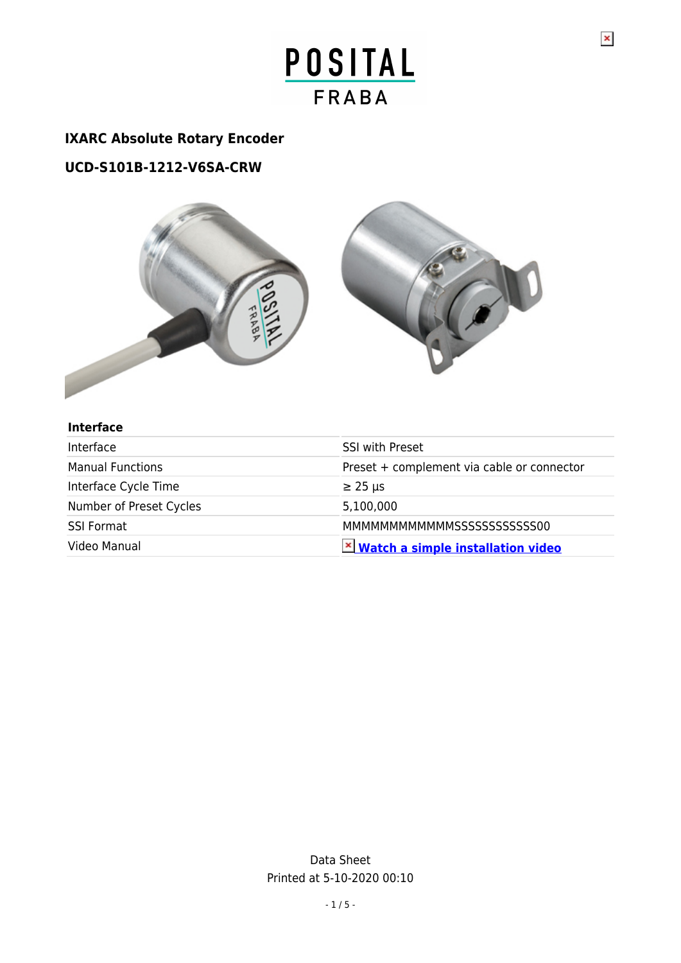## **IXARC Absolute Rotary Encoder**

## **UCD-S101B-1212-V6SA-CRW**



#### **Interface**

| Interface               | <b>SSI with Preset</b>                     |
|-------------------------|--------------------------------------------|
| <b>Manual Functions</b> | Preset + complement via cable or connector |
| Interface Cycle Time    | $\geq$ 25 µs                               |
| Number of Preset Cycles | 5,100,000                                  |
| <b>SSI Format</b>       | MMMMMMMMMMMMMSSSSSSSSSSSSS900              |
| Video Manual            | <b>× Watch a simple installation video</b> |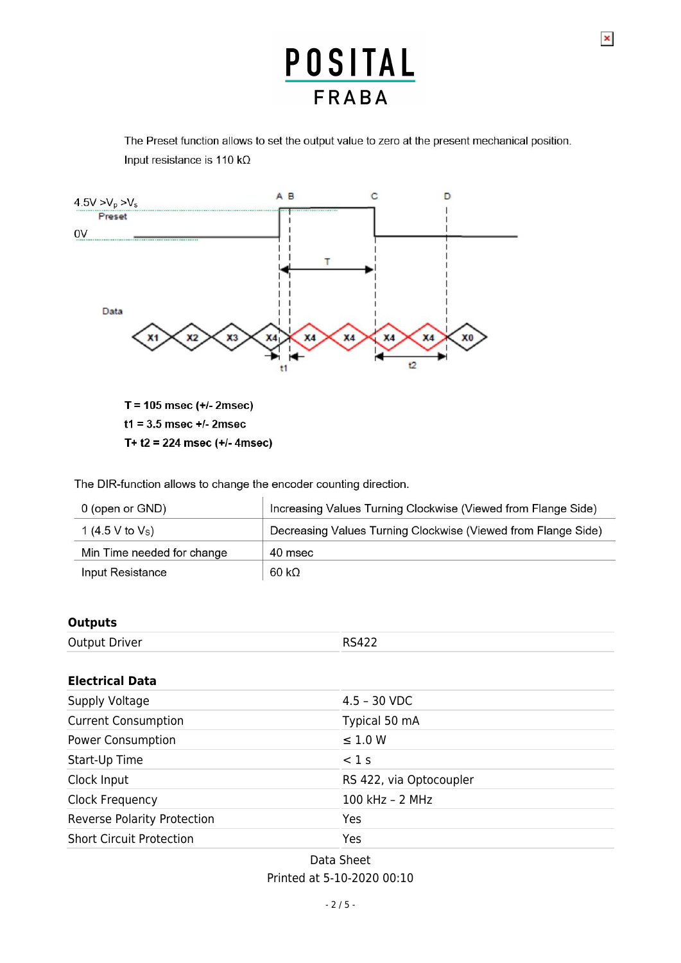$\pmb{\times}$ 

The Preset function allows to set the output value to zero at the present mechanical position. Input resistance is 110 k $\Omega$ 



T+  $t2 = 224$  msec (+/- 4msec)

The DIR-function allows to change the encoder counting direction.

| 0 (open or GND)            | Increasing Values Turning Clockwise (Viewed from Flange Side) |
|----------------------------|---------------------------------------------------------------|
| 1 (4.5 V to $V_s$ )        | Decreasing Values Turning Clockwise (Viewed from Flange Side) |
| Min Time needed for change | 40 msec                                                       |
| Input Resistance           | $60 k\Omega$                                                  |

#### **Outputs**

| <b>Output Driver</b> | <b>RS422</b> |
|----------------------|--------------|
|                      |              |

#### **Electrical Data**

| Supply Voltage                     | $4.5 - 30$ VDC          |
|------------------------------------|-------------------------|
| <b>Current Consumption</b>         | Typical 50 mA           |
| Power Consumption                  | $\leq$ 1.0 W            |
| Start-Up Time                      | $<$ 1 s                 |
| Clock Input                        | RS 422, via Optocoupler |
| Clock Frequency                    | 100 kHz $-$ 2 MHz       |
| <b>Reverse Polarity Protection</b> | Yes                     |
| <b>Short Circuit Protection</b>    | Yes                     |

Data Sheet Printed at 5-10-2020 00:10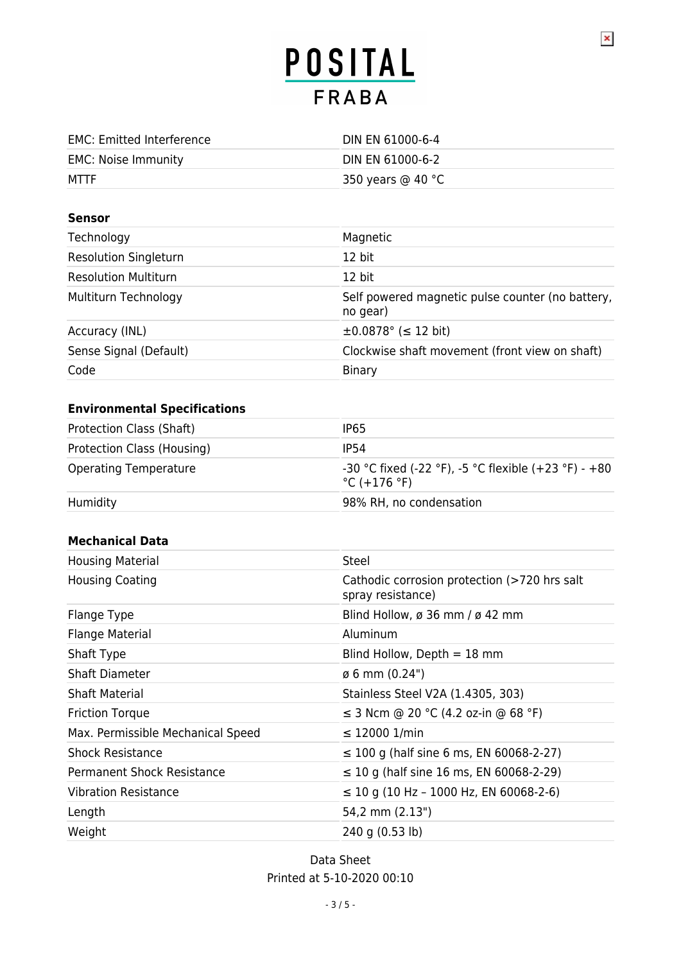$\pmb{\times}$ 

| <b>EMC: Emitted Interference</b> | DIN EN 61000-6-4            |
|----------------------------------|-----------------------------|
| EMC: Noise Immunity              | DIN EN 61000-6-2            |
| MTTF                             | 350 years @ 40 $^{\circ}$ C |

#### **Sensor**

| Technology                   | Magnetic                                                     |
|------------------------------|--------------------------------------------------------------|
| <b>Resolution Singleturn</b> | 12 bit                                                       |
| <b>Resolution Multiturn</b>  | $12$ bit                                                     |
| Multiturn Technology         | Self powered magnetic pulse counter (no battery,<br>no gear) |
| Accuracy (INL)               | $\pm 0.0878$ ° ( $\leq 12$ bit)                              |
| Sense Signal (Default)       | Clockwise shaft movement (front view on shaft)               |
| Code                         | Binary                                                       |

### **Environmental Specifications**

| Protection Class (Shaft)     | IP <sub>65</sub>                                                                         |
|------------------------------|------------------------------------------------------------------------------------------|
| Protection Class (Housing)   | IP54                                                                                     |
| <b>Operating Temperature</b> | -30 °C fixed (-22 °F), -5 °C flexible (+23 °F) - +80<br>$^{\circ}$ C (+176 $^{\circ}$ F) |
| Humidity                     | 98% RH, no condensation                                                                  |

#### **Mechanical Data**

| <b>Housing Material</b>           | Steel                                                             |
|-----------------------------------|-------------------------------------------------------------------|
| <b>Housing Coating</b>            | Cathodic corrosion protection (>720 hrs salt<br>spray resistance) |
| Flange Type                       | Blind Hollow, ø 36 mm / ø 42 mm                                   |
| <b>Flange Material</b>            | Aluminum                                                          |
| Shaft Type                        | Blind Hollow, Depth $=$ 18 mm                                     |
| <b>Shaft Diameter</b>             | $\emptyset$ 6 mm (0.24")                                          |
| <b>Shaft Material</b>             | Stainless Steel V2A (1.4305, 303)                                 |
| <b>Friction Torque</b>            | ≤ 3 Ncm @ 20 °C (4.2 oz-in @ 68 °F)                               |
| Max. Permissible Mechanical Speed | ≤ 12000 1/min                                                     |
| <b>Shock Resistance</b>           | $\leq$ 100 g (half sine 6 ms, EN 60068-2-27)                      |
| <b>Permanent Shock Resistance</b> | $\leq$ 10 g (half sine 16 ms, EN 60068-2-29)                      |
| <b>Vibration Resistance</b>       | $\leq$ 10 g (10 Hz - 1000 Hz, EN 60068-2-6)                       |
| Length                            | 54,2 mm (2.13")                                                   |
| Weight                            | 240 g (0.53 lb)                                                   |

Data Sheet Printed at 5-10-2020 00:10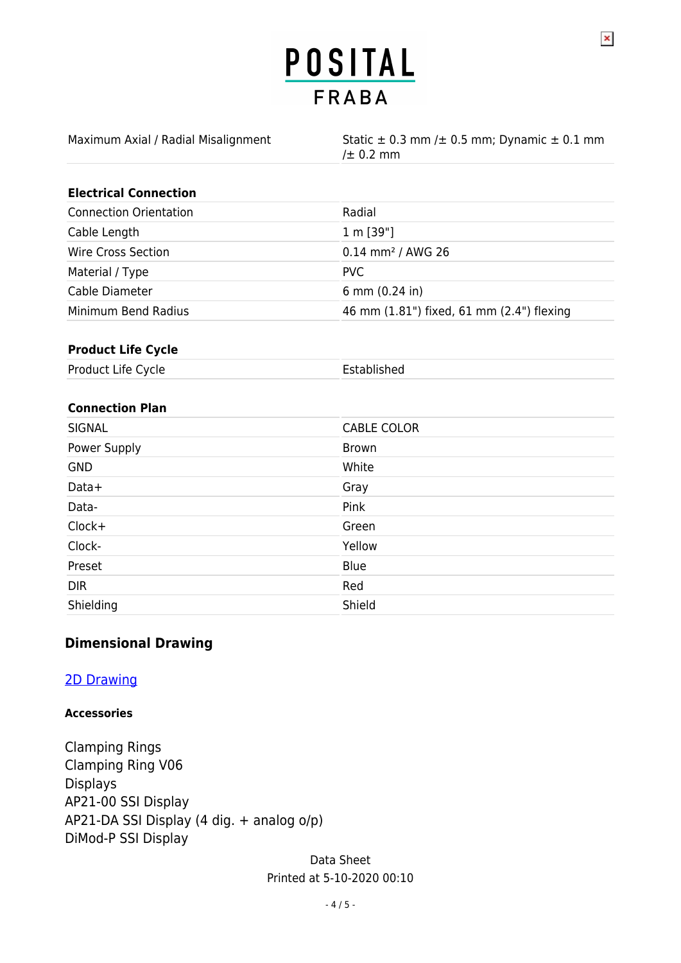$\pmb{\times}$ 

| Maximum Axial / Radial Misalignment | Static $\pm$ 0.3 mm / $\pm$ 0.5 mm; Dynamic $\pm$ 0.1 mm<br>/ $\pm$ 0.2 mm |
|-------------------------------------|----------------------------------------------------------------------------|
| <b>Electrical Connection</b>        |                                                                            |

| <b>Connection Orientation</b> | Radial                                    |
|-------------------------------|-------------------------------------------|
| Cable Length                  | 1 m [39"]                                 |
| Wire Cross Section            | $0.14$ mm <sup>2</sup> / AWG 26           |
| Material / Type               | PVC.                                      |
| Cable Diameter                | 6 mm $(0.24$ in)                          |
| Minimum Bend Radius           | 46 mm (1.81") fixed, 61 mm (2.4") flexing |

### **Product Life Cycle**

Product Life Cycle **Established** 

#### **Connection Plan**

| <b>SIGNAL</b> | <b>CABLE COLOR</b> |
|---------------|--------------------|
| Power Supply  | <b>Brown</b>       |
| <b>GND</b>    | White              |
| Data+         | Gray               |
| Data-         | Pink               |
| Clock+        | Green              |
| Clock-        | Yellow             |
| Preset        | Blue               |
| <b>DIR</b>    | Red                |
| Shielding     | Shield             |

#### **Dimensional Drawing**

### [2D Drawing](http://www.posital.com/en/system/webservices/product-drawing.php?i1=aHR0cHM6Ly93d3cucG9zaXRhbC5jb20vbWVkaWEvcG9zaXRhbF9mc2ltZy9kcmF3aW5nLXVjZC12NnMwLXEzYS1uXzk1MHhYLnBuZw==&i2=aHR0cHM6Ly93d3cucG9zaXRhbC5jb20vbWVkaWEvcG9zaXRhbF9mc2ltZy9kcmF3aW5nLW1jLTMtY3ItMzYwLXN6bS1ubm4wOWItbi1jcnctbl85NTB4WC5wbmc=&i3=&p=VUNELVMxMDFCLTEyMTItVjZTQS1DUlc=)

#### **Accessories**

Clamping Rings Clamping Ring V06 Displays AP21-00 SSI Display AP21-DA SSI Display (4 dig. + analog o/p) DiMod-P SSI Display

> Data Sheet Printed at 5-10-2020 00:10